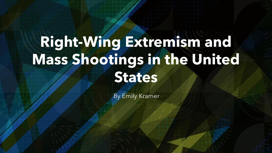# **Right-Wing Extremism and Mass Shootings in the United States**

By Emily Kramer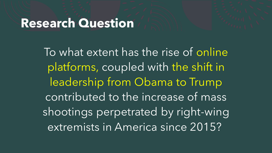#### **Research Question**

To what extent has the rise of online platforms, coupled with the shift in leadership from Obama to Trump contributed to the increase of mass shootings perpetrated by right-wing extremists in America since 2015?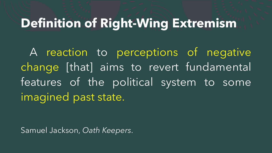#### **Definition of Right-Wing Extremism**

A reaction to perceptions of negative change [that] aims to revert fundamental features of the political system to some imagined past state.

Samuel Jackson, *Oath Keepers*.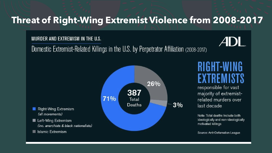#### **Threat of Right-Wing Extremist Violence from 2008-2017**

#### MURDER AND EXTREMISM IN THE U.S.

(all movements)

Islamic Extremism



Domestic Extremist-Related Killings in the U.S. by Perpetrator Affiliation (2008-2017)



responsible for vast majority of extremistrelated murders over last decade

 $3%$ 

Note: Total deaths Include both ideologically and non-ideologically motivated killings

Source: Anti-Defamation League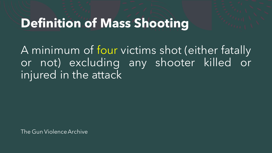#### **Definition of Mass Shooting**

A minimum of four victims shot (either fatally or not) excluding any shooter killed or injured in the attack

The Gun Violence Archive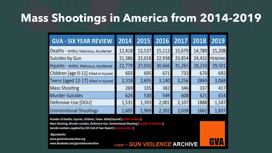#### **Mass Shootings in America from 2014-2019**

| <b>GVA - SIX YEAR REVIEW</b>              | 2014   | 2015   | 2016   | 2017   | 2018   | 2019           |
|-------------------------------------------|--------|--------|--------|--------|--------|----------------|
| Deaths - Willful, Malicious, Accidental   | 12,418 | 13,537 | 15,112 | 15,679 | 14,789 | 15,208         |
| Suicides by Gun                           | 21,386 | 22,018 | 22,938 | 23,854 | 24,432 | <b>PENDING</b> |
| Injuries - Willful, Malicious, Accidental | 22,779 | 27,033 | 30,666 | 31,265 | 28,233 | 29,501         |
| Children [age 0-11] Killed or Injured     | 603    | 695    | 671    | 733    | 670    | 692            |
| Teens [aged 12-17] Killed or Injured      | 2,318  | 2,695  | 3,140  | 3,256  | 2869   | 3,068          |
| <b>Mass Shooting</b>                      | 269    | 335    | 382    | 346    | 337    | 417            |
| Murder-Suicides                           | 624    | 530    | 549    | 608    | 621    | 614            |
| Defensive Use [DGU]                       | 1,531  | 1,393  | 2,001  | 2,107  | 1888   | 1,547          |
| <b>Unintentional Shootings</b>            | 1,605  | 1,969  | 2,202  | 2,039  | 1662   | 1,837          |

©2020 - GUN VIOLENCE ARCHIVE

GVA

Number of Deaths, Injuries, Children, Teens killed/injured [actual numbers] Mass Shooting, Murder-suicides, Defensive Use, Unintentional Shooting [number of incidents]

Suicide numbers supplied by CDC End of Year Report [actual numbers]

**@gundeaths** www.gunviolencearchive.org www.facebook.com/gunviolencearchive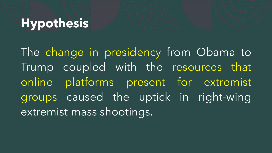# **Hypothesis**

The change in presidency from Obama to Trump coupled with the resources that online platforms present for extremist groups caused the uptick in right-wing extremist mass shootings.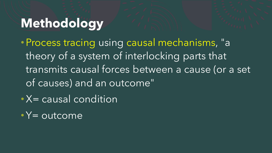# **Methodology**

- Process tracing using causal mechanisms, "a theory of a system of interlocking parts that transmits causal forces between a cause (or a set of causes) and an outcome"
- X= causal condition
- $\sqrt{\bullet}\,Y=\overline{\textrm{outcome}}$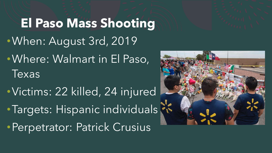**El Paso Mass Shooting** •When: August 3rd, 2019 •Where: Walmart in El Paso, Texas

•Victims: 22 killed, 24 injured • Targets: Hispanic individuals ? •Perpetrator: Patrick Crusius

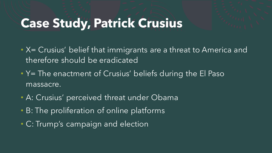## **Case Study, Patrick Crusius**

- X= Crusius' belief that immigrants are a threat to America and therefore should be eradicated
- Y= The enactment of Crusius' beliefs during the El Paso massacre.
- A: Crusius' perceived threat under Obama
- B: The proliferation of online platforms
- C: Trump's campaign and election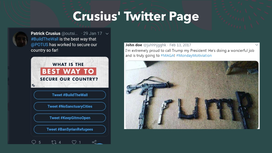## **Crusius' Twitter Page**



**Patrick Crusius** @outsi...  $\cdot$  29 Jan 17  $\sim$ #BuildTheWall is the best way that @POTUS has worked to secure our country so far!



**Tweet #NoSanctuaryCities** 

**Tweet #KeepGitmoOpen** 

**Tweet #BanSyrianRefugees** 

 $Q 5 124 01$ 

 $\alpha_0^0$ 

John doe @juhhhjgghk · Feb 13, 2017 I'm extremely proud to call Trump my President! He's doing a wonderful job and is truly going to #MAGA! #MondayMotiviation

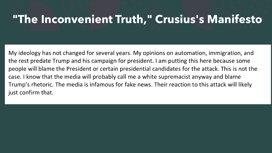#### **"The Inconvenient Truth," Crusius's Manifesto**

My ideology has not changed for several years. My opinions on automation, immigration, and the rest predate Trump and his campaign for president. I am putting this here because some people will blame the President or certain presidential candidates for the attack. This is not the case. I know that the media will probably call me a white supremacist anyway and blame Trump's rhetoric. The media is infamous for fake news. Their reaction to this attack will likely just confirm that.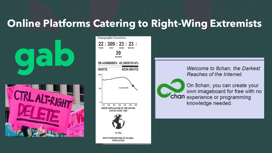#### **Online Platforms Catering to Right-Wing Extremists**





Welcome to 8chan, the Darkest Reaches of the Internet.



On 8chan, you can create your own imageboard for free with no chan experience or programming knowledge needed.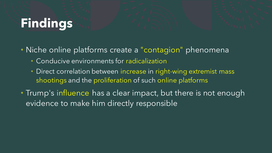# **Findings**

- Niche online platforms create a "contagion" phenomena
	- Conducive environments for radicalization
	- Direct correlation between increase in right-wing extremist mass shootings and the proliferation of such online platforms
- Trump's influence has a clear impact, but there is not enough evidence to make him directly responsible